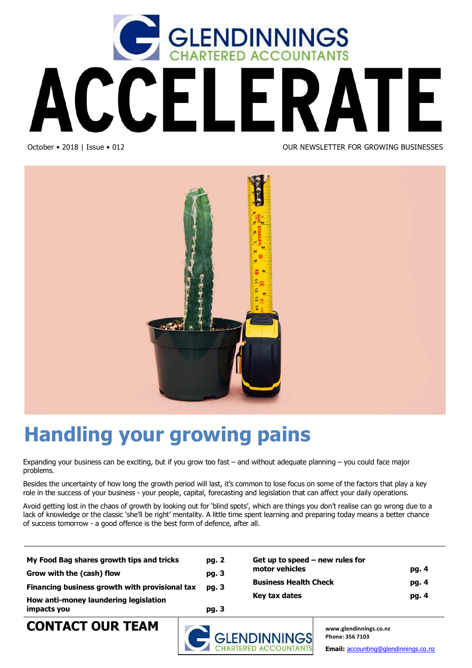



## **Handling your growing pains**

Expanding your business can be exciting, but if you grow too fast – and without adequate planning – you could face major problems.

Besides the uncertainty of how long the growth period will last, it's common to lose focus on some of the factors that play a key role in the success of your business - your people, capital, forecasting and legislation that can affect your daily operations.

Avoid getting lost in the chaos of growth by looking out for 'blind spots', which are things you don't realise can go wrong due to a lack of knowledge or the classic 'she'll be right' mentality. A little time spent learning and preparing today means a better chance of success tomorrow - a good offence is the best form of defence, after all.

| impacts you                                    | pg. 3 |                                   |       |
|------------------------------------------------|-------|-----------------------------------|-------|
| How anti-money laundering legislation          |       | Key tax dates                     | pg. 4 |
| Financing business growth with provisional tax | pg. 3 |                                   |       |
|                                                |       | <b>Business Health Check</b>      | pg. 4 |
| Grow with the (cash) flow                      | pg. 3 | motor vehicles                    | pg. 4 |
| My Food Bag shares growth tips and tricks      | pg. 2 | Get up to speed $-$ new rules for |       |
|                                                |       |                                   |       |



**Phone: 356 7103** 

**Email:** accounting@glendinnings.co.nz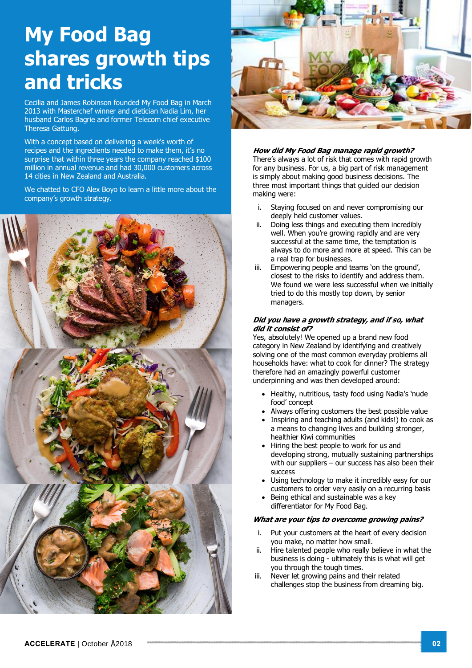### **My Food Bag shares growth tips and tricks**

Cecilia and James Robinson founded My Food Bag in March 2013 with Masterchef winner and dietician Nadia Lim, her husband Carlos Bagrie and former Telecom chief executive Theresa Gattung.

With a concept based on delivering a week's worth of recipes and the ingredients needed to make them, it's no surprise that within three years the company reached \$100 million in annual revenue and had 30,000 customers across 14 cities in New Zealand and Australia.

We chatted to CFO Alex Boyo to learn a little more about the company's growth strategy.





#### **How did My Food Bag manage rapid growth?**

There's always a lot of risk that comes with rapid growth for any business. For us, a big part of risk management is simply about making good business decisions. The three most important things that guided our decision making were:

- i. Staying focused on and never compromising our deeply held customer values.
- ii. Doing less things and executing them incredibly well. When you're growing rapidly and are very successful at the same time, the temptation is always to do more and more at speed. This can be a real trap for businesses.
- iii. Empowering people and teams 'on the ground', closest to the risks to identify and address them. We found we were less successful when we initially tried to do this mostly top down, by senior managers.

#### **Did you have a growth strategy, and if so, what did it consist of?**

Yes, absolutely! We opened up a brand new food category in New Zealand by identifying and creatively solving one of the most common everyday problems all households have: what to cook for dinner? The strategy therefore had an amazingly powerful customer underpinning and was then developed around:

- Healthy, nutritious, tasty food using Nadia's 'nude food' concept
- Always offering customers the best possible value
- · Inspiring and teaching adults (and kids!) to cook as a means to changing lives and building stronger, healthier Kiwi communities
- Hiring the best people to work for us and developing strong, mutually sustaining partnerships with our suppliers – our success has also been their success
- Using technology to make it incredibly easy for our customers to order very easily on a recurring basis
- Being ethical and sustainable was a key differentiator for My Food Bag.

### **What are your tips to overcome growing pains?**

- i. Put your customers at the heart of every decision you make, no matter how small.
- ii. Hire talented people who really believe in what the business is doing - ultimately this is what will get you through the tough times.
- iii. Never let growing pains and their related challenges stop the business from dreaming big.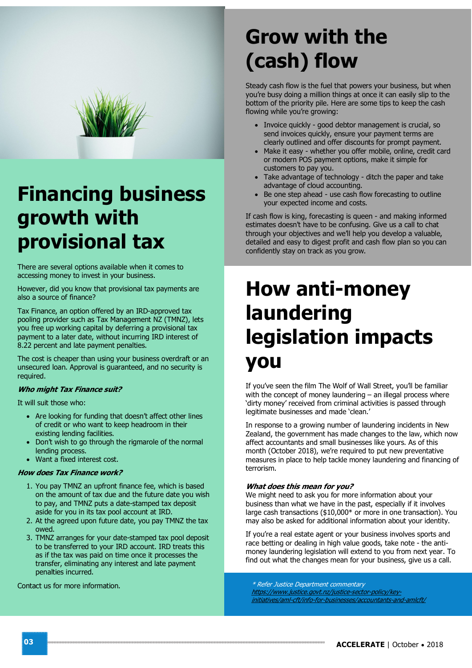

### **Financing business growth with provisional tax**

There are several options available when it comes to accessing money to invest in your business.

However, did you know that provisional tax payments are also a source of finance?

Tax Finance, an option offered by an IRD-approved tax pooling provider such as Tax Management NZ (TMNZ), lets you free up working capital by deferring a provisional tax payment to a later date, without incurring IRD interest of 8.22 percent and late payment penalties.

The cost is cheaper than using your business overdraft or an unsecured loan. Approval is guaranteed, and no security is required.

### **Who might Tax Finance suit?**

It will suit those who:

- · Are looking for funding that doesn't affect other lines of credit or who want to keep headroom in their existing lending facilities.
- · Don't wish to go through the rigmarole of the normal lending process.
- · Want a fixed interest cost.

#### **How does Tax Finance work?**

- 1. You pay TMNZ an upfront finance fee, which is based on the amount of tax due and the future date you wish to pay, and TMNZ puts a date-stamped tax deposit aside for you in its tax pool account at IRD.
- 2. At the agreed upon future date, you pay TMNZ the tax owed.
- 3. TMNZ arranges for your date-stamped tax pool deposit to be transferred to your IRD account. IRD treats this as if the tax was paid on time once it processes the transfer, eliminating any interest and late payment penalties incurred.

Contact us for more information.

# **Grow with the (cash) flow**

Steady cash flow is the fuel that powers your business, but when you're busy doing a million things at once it can easily slip to the bottom of the priority pile. Here are some tips to keep the cash flowing while you're growing:

- · Invoice quickly good debtor management is crucial, so send invoices quickly, ensure your payment terms are clearly outlined and offer discounts for prompt payment.
- · Make it easy whether you offer mobile, online, credit card or modern POS payment options, make it simple for customers to pay you.
- · Take advantage of technology ditch the paper and take advantage of cloud accounting.
- Be one step ahead use cash flow forecasting to outline your expected income and costs.

If cash flow is king, forecasting is queen - and making informed estimates doesn't have to be confusing. Give us a call to chat through your objectives and we'll help you develop a valuable, detailed and easy to digest profit and cash flow plan so you can confidently stay on track as you grow.

### **How anti-money laundering legislation impacts you**

If you've seen the film The Wolf of Wall Street, you'll be familiar with the concept of money laundering – an illegal process where 'dirty money' received from criminal activities is passed through legitimate businesses and made 'clean.'

In response to a growing number of laundering incidents in New Zealand, the government has made changes to the law, which now affect accountants and small businesses like yours. As of this month (October 2018), we're required to put new preventative measures in place to help tackle money laundering and financing of terrorism.

### **What does this mean for you?**

We might need to ask you for more information about your business than what we have in the past, especially if it involves large cash transactions (\$10,000\* or more in one transaction). You may also be asked for additional information about your identity.

If you're a real estate agent or your business involves sports and race betting or dealing in high value goods, take note - the antimoney laundering legislation will extend to you from next year. To find out what the changes mean for your business, give us a call.

\* Refer Justice Department commentary https://www.justice.govt.nz/justice-sector-policy/keyinitiatives/aml-cft/info-for-businesses/accountants-and-amlcft/